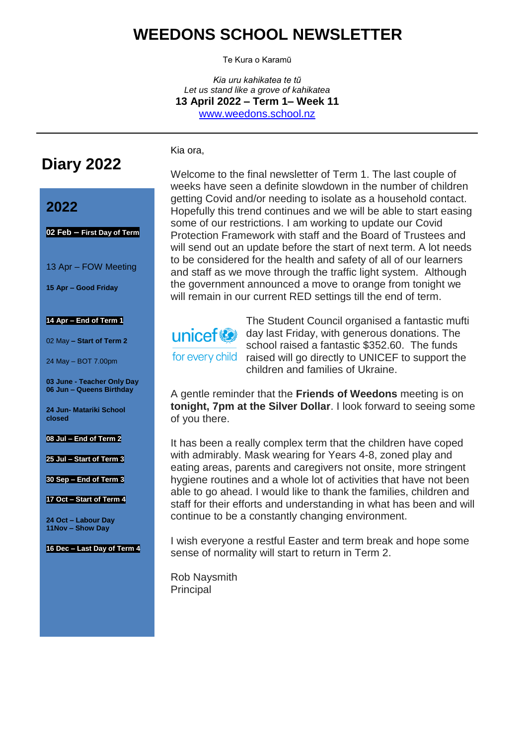# **WEEDONS SCHOOL NEWSLETTER**

Te Kura o Karamū

*Kia uru kahikatea te tũ Let us stand like a grove of kahikatea* **13 April 2022 – Term 1– Week 11** [www.weedons.school.nz](http://www.weedons.school.nz/)

**Diary 2022**

### **2022**

**02 Feb – First Day of Term**

13 Apr – FOW Meeting

**15 Apr – Good Friday**

#### **14 Apr – End of Term 1**

02 May **– Start of Term 2**

24 May – BOT 7.00pm

**03 June - Teacher Only Day 06 Jun – Queens Birthday**

**24 Jun- Matariki School closed**

**08 Jul – End of Term 2**

**25 Jul – Start of Term 3**

**30 Sep – End of Term 3**

**17 Oct – Start of Term 4**

**24 Oct – Labour Day 11Nov – Show Day**

**16 Dec – Last Day of Term 4**

Welcome to the final newsletter of Term 1. The last couple of weeks have seen a definite slowdown in the number of children getting Covid and/or needing to isolate as a household contact. Hopefully this trend continues and we will be able to start easing some of our restrictions. I am working to update our Covid Protection Framework with staff and the Board of Trustees and will send out an update before the start of next term. A lot needs to be considered for the health and safety of all of our learners and staff as we move through the traffic light system. Although the government announced a move to orange from tonight we will remain in our current RED settings till the end of term.



Kia ora,

The Student Council organised a fantastic mufti unicef  $\bigcirc$  day last Friday, with generous donations. The school raised a fantastic \$352.60. The funds for every child raised will go directly to UNICEF to support the children and families of Ukraine.

A gentle reminder that the **Friends of Weedons** meeting is on **tonight, 7pm at the Silver Dollar**. I look forward to seeing some of you there.

It has been a really complex term that the children have coped with admirably. Mask wearing for Years 4-8, zoned play and eating areas, parents and caregivers not onsite, more stringent hygiene routines and a whole lot of activities that have not been able to go ahead. I would like to thank the families, children and staff for their efforts and understanding in what has been and will continue to be a constantly changing environment.

I wish everyone a restful Easter and term break and hope some sense of normality will start to return in Term 2.

Rob Naysmith **Principal**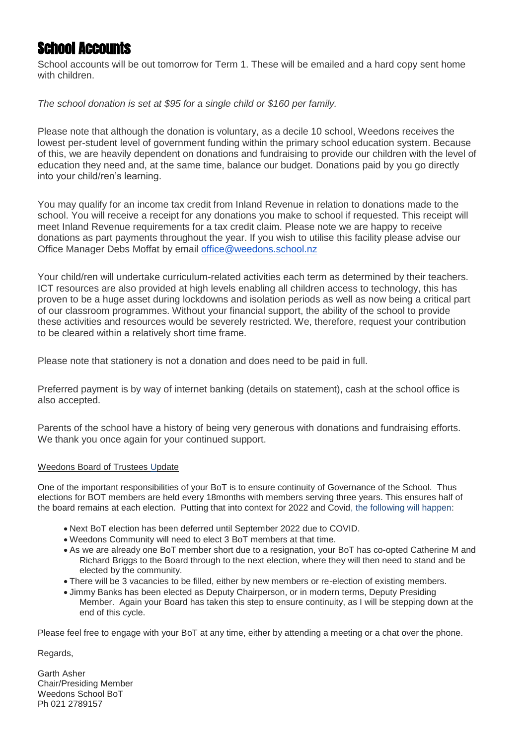# School Accounts

School accounts will be out tomorrow for Term 1. These will be emailed and a hard copy sent home with children

*The school donation is set at \$95 for a single child or \$160 per family.* 

Please note that although the donation is voluntary, as a decile 10 school, Weedons receives the lowest per-student level of government funding within the primary school education system. Because of this, we are heavily dependent on donations and fundraising to provide our children with the level of education they need and, at the same time, balance our budget. Donations paid by you go directly into your child/ren's learning.

You may qualify for an income tax credit from Inland Revenue in relation to donations made to the school. You will receive a receipt for any donations you make to school if requested. This receipt will meet Inland Revenue requirements for a tax credit claim. Please note we are happy to receive donations as part payments throughout the year. If you wish to utilise this facility please advise our Office Manager Debs Moffat by email [office@weedons.school.nz](mailto:office@weedons.school.nz)

Your child/ren will undertake curriculum-related activities each term as determined by their teachers. ICT resources are also provided at high levels enabling all children access to technology, this has proven to be a huge asset during lockdowns and isolation periods as well as now being a critical part of our classroom programmes. Without your financial support, the ability of the school to provide these activities and resources would be severely restricted. We, therefore, request your contribution to be cleared within a relatively short time frame.

Please note that stationery is not a donation and does need to be paid in full.

Preferred payment is by way of internet banking (details on statement), cash at the school office is also accepted.

Parents of the school have a history of being very generous with donations and fundraising efforts. We thank you once again for your continued support.

#### Weedons Board of Trustees Update

One of the important responsibilities of your BoT is to ensure continuity of Governance of the School. Thus elections for BOT members are held every 18months with members serving three years. This ensures half of the board remains at each election. Putting that into context for 2022 and Covid, the following will happen:

- Next BoT election has been deferred until September 2022 due to COVID.
- Weedons Community will need to elect 3 BoT members at that time.
- As we are already one BoT member short due to a resignation, your BoT has co-opted Catherine M and Richard Briggs to the Board through to the next election, where they will then need to stand and be elected by the community.
- There will be 3 vacancies to be filled, either by new members or re-election of existing members.
- Jimmy Banks has been elected as Deputy Chairperson, or in modern terms, Deputy Presiding Member. Again your Board has taken this step to ensure continuity, as I will be stepping down at the end of this cycle.

Please feel free to engage with your BoT at any time, either by attending a meeting or a chat over the phone.

Regards,

Garth Asher Chair/Presiding Member Weedons School BoT Ph 021 2789157